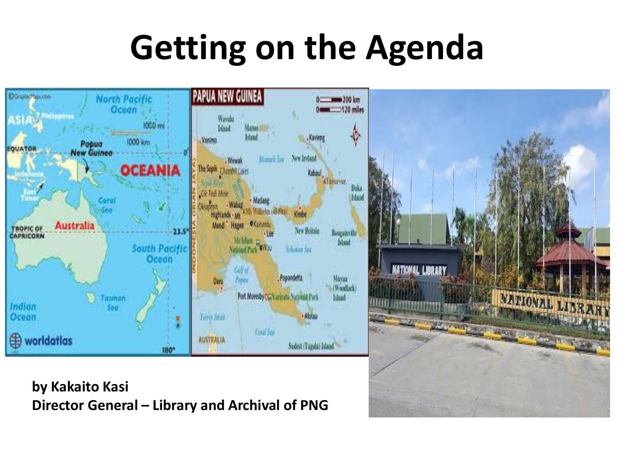## **Getting on the Agenda**



**by Kakaito Kasi Director General – Library and Archival of PNG**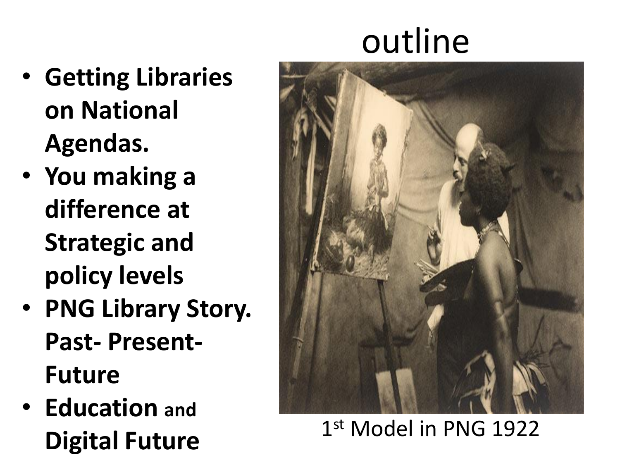# outline

- **Getting Libraries on National Agendas.**
- **You making a difference at Strategic and policy levels**
- **PNG Library Story. Past- Present-Future**
- **Education and Digital Future**



#### 1st Model in PNG 1922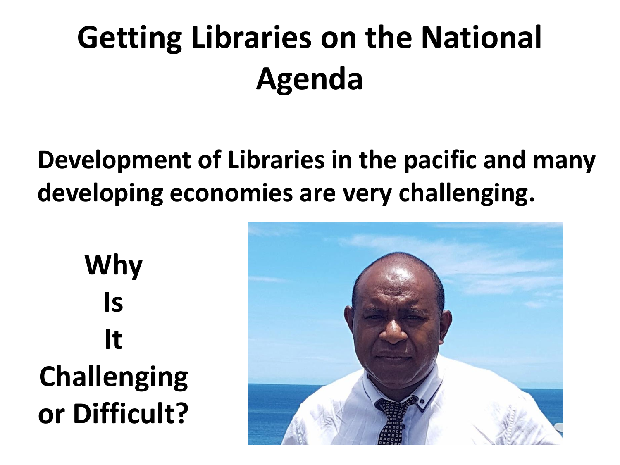## **Getting Libraries on the National Agenda**

#### **Development of Libraries in the pacific and many developing economies are very challenging.**

**Why Is It Challenging or Difficult?**

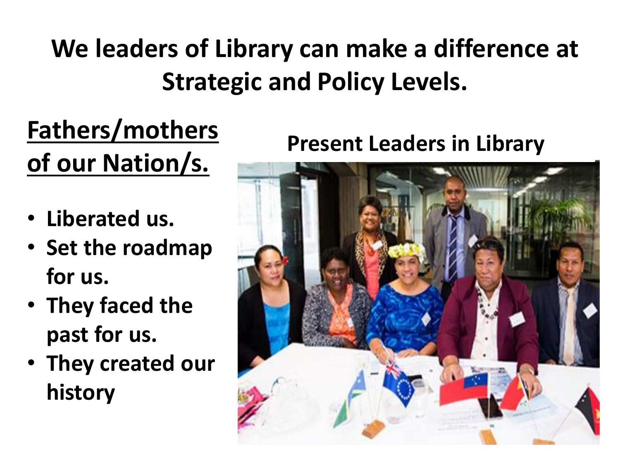### **We leaders of Library can make a difference at Strategic and Policy Levels.**

### **Fathers/mothers of our Nation/s.**

- **Liberated us.**
- **Set the roadmap for us.**
- **They faced the past for us.**
- **They created our history**

#### **Present Leaders in Library**

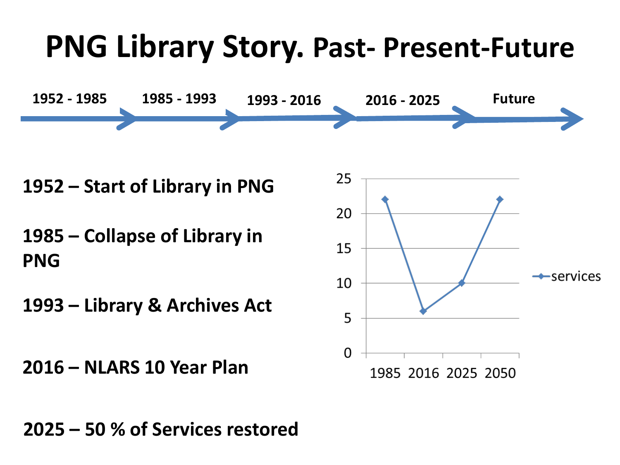### **PNG Library Story. Past- Present-Future**



**– Start of Library in PNG**

**– Collapse of Library in PNG**

**– Library & Archives Act**

**– NLARS 10 Year Plan**



**– 50 % of Services restored**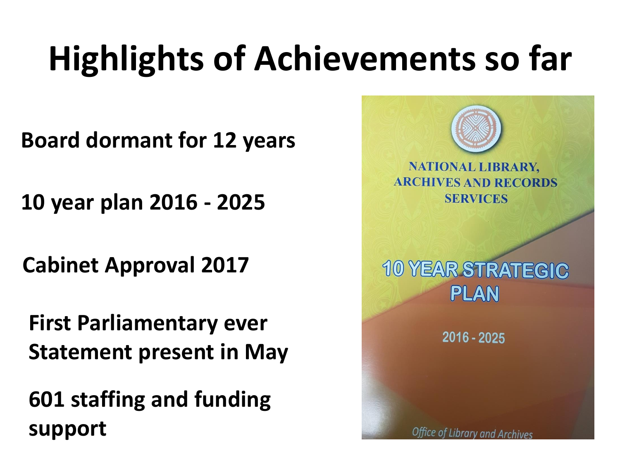# **Highlights of Achievements so far**

**Board dormant for 12 years** 

**10 year plan 2016 - 2025**

**Cabinet Approval 2017**

**First Parliamentary ever Statement present in May**

**601 staffing and funding support**

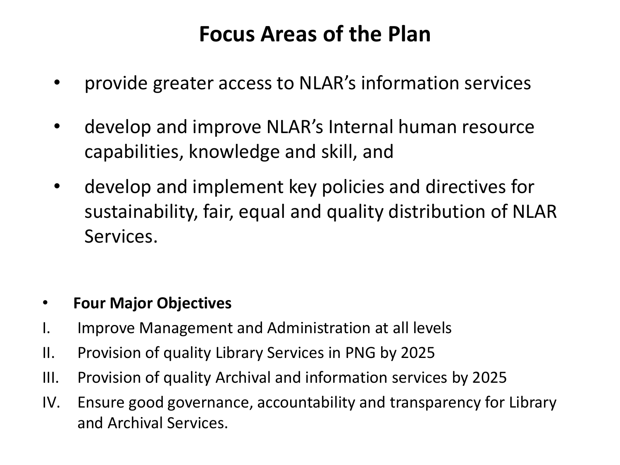#### **Focus Areas of the Plan**

- provide greater access to NLAR's information services
- develop and improve NLAR's Internal human resource capabilities, knowledge and skill, and
- develop and implement key policies and directives for sustainability, fair, equal and quality distribution of NLAR Services.

#### • **Four Major Objectives**

- I. Improve Management and Administration at all levels
- II. Provision of quality Library Services in PNG by 2025
- III. Provision of quality Archival and information services by 2025
- IV. Ensure good governance, accountability and transparency for Library and Archival Services.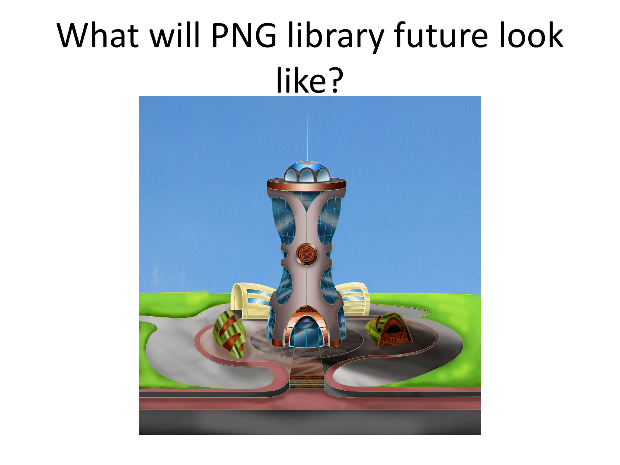## What will PNG library future look like?

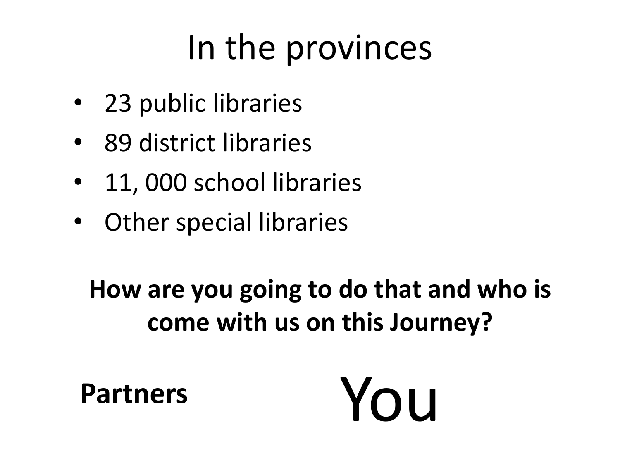## In the provinces

- 23 public libraries
- 89 district libraries
- 11, 000 school libraries
- Other special libraries

#### **How are you going to do that and who is come with us on this Journey?**

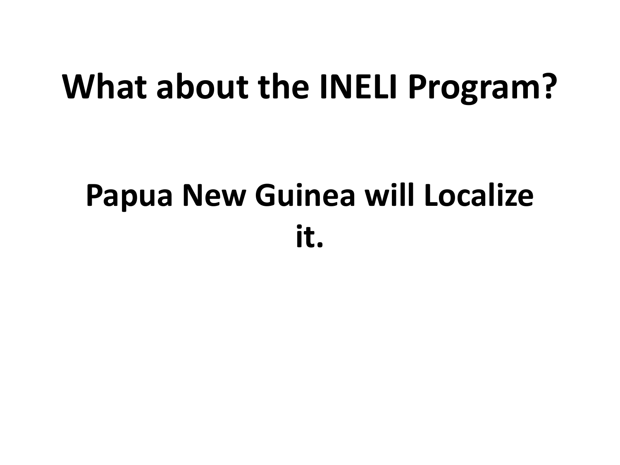### **What about the INELI Program?**

### **Papua New Guinea will Localize it.**